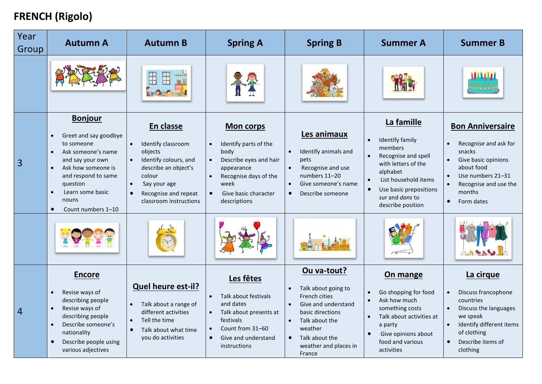## **FRENCH (Rigolo)**

| Year<br>Group | <b>Autumn A</b>                                                                                                                                                                                                                                                 | <b>Autumn B</b>                                                                                                                                                                      | <b>Spring A</b>                                                                                                                                                                              | <b>Spring B</b>                                                                                                                                                                                                                             | <b>Summer A</b>                                                                                                                                                                                                        | <b>Summer B</b>                                                                                                                                                                          |
|---------------|-----------------------------------------------------------------------------------------------------------------------------------------------------------------------------------------------------------------------------------------------------------------|--------------------------------------------------------------------------------------------------------------------------------------------------------------------------------------|----------------------------------------------------------------------------------------------------------------------------------------------------------------------------------------------|---------------------------------------------------------------------------------------------------------------------------------------------------------------------------------------------------------------------------------------------|------------------------------------------------------------------------------------------------------------------------------------------------------------------------------------------------------------------------|------------------------------------------------------------------------------------------------------------------------------------------------------------------------------------------|
|               |                                                                                                                                                                                                                                                                 |                                                                                                                                                                                      |                                                                                                                                                                                              |                                                                                                                                                                                                                                             |                                                                                                                                                                                                                        |                                                                                                                                                                                          |
| 3             | <b>Bonjour</b><br>Greet and say goodbye<br>to someone<br>Ask someone's name<br>$\bullet$<br>and say your own<br>Ask how someone is<br>$\bullet$<br>and respond to same<br>question<br>Learn some basic<br>$\bullet$<br>nouns<br>Count numbers 1-10<br>$\bullet$ | En classe<br>Identify classroom<br>$\bullet$<br>objects<br>Identify colours, and<br>describe an object's<br>colour<br>Say your age<br>Recognise and repeat<br>classroom instructions | <b>Mon corps</b><br>Identify parts of the<br>body<br>Describe eyes and hair<br>$\bullet$<br>appearance<br>Recognise days of the<br>week<br>Give basic character<br>$\bullet$<br>descriptions | Les animaux<br>Identify animals and<br>$\bullet$<br>pets<br>Recognise and use<br>$\bullet$<br>numbers 11-20<br>Give someone's name<br>$\bullet$<br>Describe someone<br>$\bullet$                                                            | La famille<br>Identify family<br>members<br>Recognise and spell<br>$\bullet$<br>with letters of the<br>alphabet<br>List household items<br>Use basic prepositions<br>$\bullet$<br>sur and dans to<br>describe position | <b>Bon Anniversaire</b><br>Recognise and ask for<br>snacks<br>Give basic opinions<br>about food<br>Use numbers 21-31<br>Recognise and use the<br>months<br>Form dates<br>$\bullet$       |
|               |                                                                                                                                                                                                                                                                 |                                                                                                                                                                                      |                                                                                                                                                                                              |                                                                                                                                                                                                                                             |                                                                                                                                                                                                                        |                                                                                                                                                                                          |
| 4             | <b>Encore</b><br>Revise ways of<br>$\bullet$<br>describing people<br>Revise ways of<br>describing people<br>Describe someone's<br>$\bullet$<br>nationality<br>Describe people using<br>various adjectives                                                       | Quel heure est-il?<br>Talk about a range of<br>different activities<br>Tell the time<br>$\bullet$<br>Talk about what time<br>you do activities                                       | Les fêtes<br>Talk about festivals<br>and dates<br>Talk about presents at<br>festivals<br>Count from 31-60<br>Give and understand<br>$\bullet$<br>instructions                                | Ou va-tout?<br>Talk about going to<br>$\bullet$<br><b>French cities</b><br>Give and understand<br>$\bullet$<br>basic directions<br>Talk about the<br>$\bullet$<br>weather<br>Talk about the<br>$\bullet$<br>weather and places in<br>France | On mange<br>Go shopping for food<br>Ask how much<br>$\bullet$<br>something costs<br>Talk about activities at<br>a party<br>Give opinions about<br>$\bullet$<br>food and various<br>activities                          | La cirque<br>Discuss francophone<br>countries<br>Discuss the languages<br>$\bullet$<br>we speak<br>Identify different items<br>of clothing<br>Describe items of<br>$\bullet$<br>clothing |